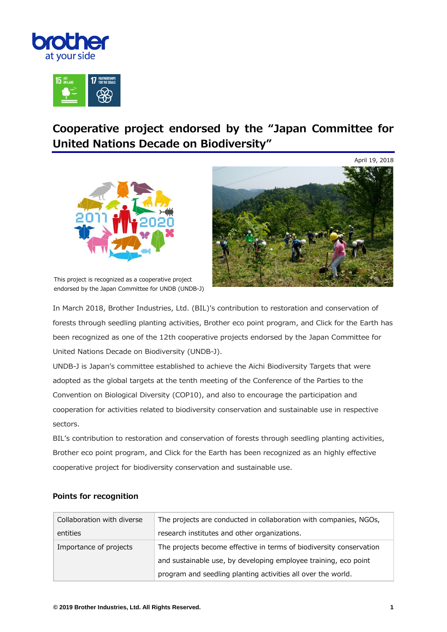



## **Cooperative project endorsed by the "Japan Committee for United Nations Decade on Biodiversity"**





This project is recognized as a cooperative project endorsed by the Japan Committee for UNDB (UNDB-J)

In March 2018, Brother Industries, Ltd. (BIL)'s contribution to restoration and conservation of forests through seedling planting activities, Brother eco point program, and Click for the Earth has been recognized as one of the 12th cooperative projects endorsed by the Japan Committee for United Nations Decade on Biodiversity (UNDB-J).

UNDB-J is Japan's committee established to achieve the Aichi Biodiversity Targets that were adopted as the global targets at the tenth meeting of the Conference of the Parties to the Convention on Biological Diversity (COP10), and also to encourage the participation and cooperation for activities related to biodiversity conservation and sustainable use in respective sectors.

BIL's contribution to restoration and conservation of forests through seedling planting activities, Brother eco point program, and Click for the Earth has been recognized as an highly effective cooperative project for biodiversity conservation and sustainable use.

| Collaboration with diverse | The projects are conducted in collaboration with companies, NGOs,   |
|----------------------------|---------------------------------------------------------------------|
| entities                   | research institutes and other organizations.                        |
| Importance of projects     | The projects become effective in terms of biodiversity conservation |
|                            | and sustainable use, by developing employee training, eco point     |
|                            | program and seedling planting activities all over the world.        |

## **Points for recognition**